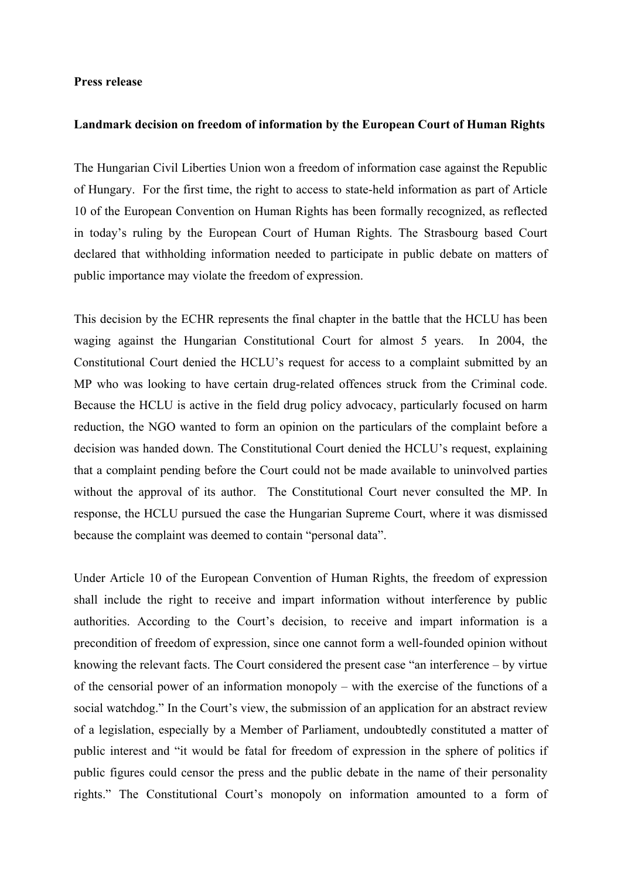## **Press release**

## **Landmark decision on freedom of information by the European Court of Human Rights**

The Hungarian Civil Liberties Union won a freedom of information case against the Republic of Hungary. For the first time, the right to access to state-held information as part of Article 10 of the European Convention on Human Rights has been formally recognized, as reflected in today's ruling by the European Court of Human Rights. The Strasbourg based Court declared that withholding information needed to participate in public debate on matters of public importance may violate the freedom of expression.

This decision by the ECHR represents the final chapter in the battle that the HCLU has been waging against the Hungarian Constitutional Court for almost 5 years. In 2004, the Constitutional Court denied the HCLU's request for access to a complaint submitted by an MP who was looking to have certain drug-related offences struck from the Criminal code. Because the HCLU is active in the field drug policy advocacy, particularly focused on harm reduction, the NGO wanted to form an opinion on the particulars of the complaint before a decision was handed down. The Constitutional Court denied the HCLU's request, explaining that a complaint pending before the Court could not be made available to uninvolved parties without the approval of its author. The Constitutional Court never consulted the MP. In response, the HCLU pursued the case the Hungarian Supreme Court, where it was dismissed because the complaint was deemed to contain "personal data".

Under Article 10 of the European Convention of Human Rights, the freedom of expression shall include the right to receive and impart information without interference by public authorities. According to the Court's decision, to receive and impart information is a precondition of freedom of expression, since one cannot form a well-founded opinion without knowing the relevant facts. The Court considered the present case "an interference – by virtue of the censorial power of an information monopoly – with the exercise of the functions of a social watchdog." In the Court's view, the submission of an application for an abstract review of a legislation, especially by a Member of Parliament, undoubtedly constituted a matter of public interest and "it would be fatal for freedom of expression in the sphere of politics if public figures could censor the press and the public debate in the name of their personality rights." The Constitutional Court's monopoly on information amounted to a form of